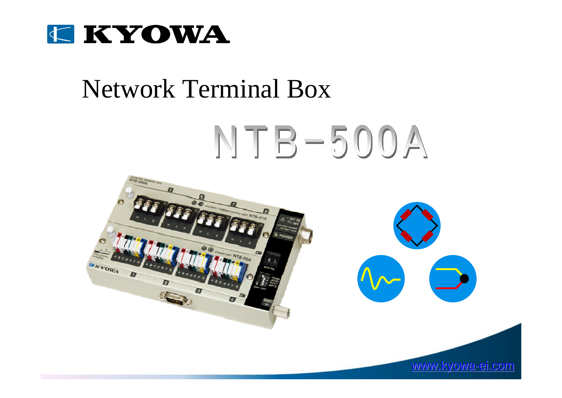

### Network Terminal Box

# NTB-500A

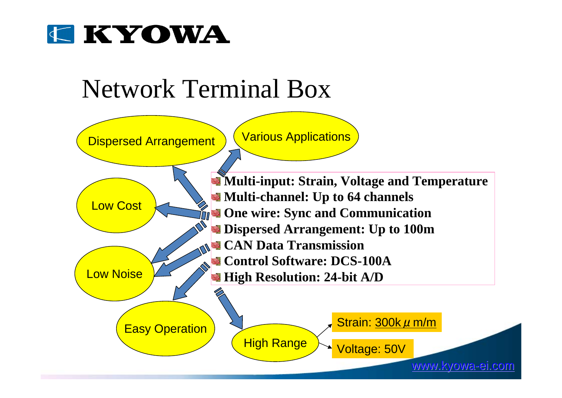

## Network Terminal Box

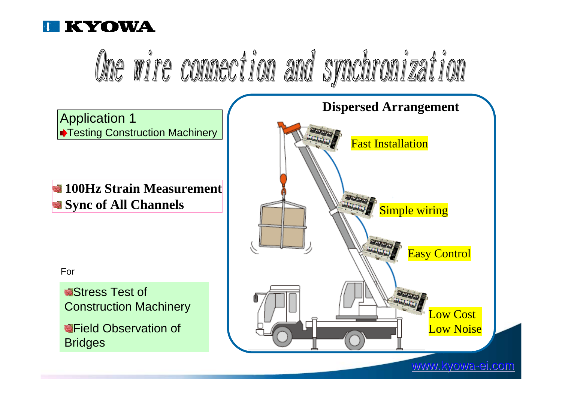



www.kyowa-ei.com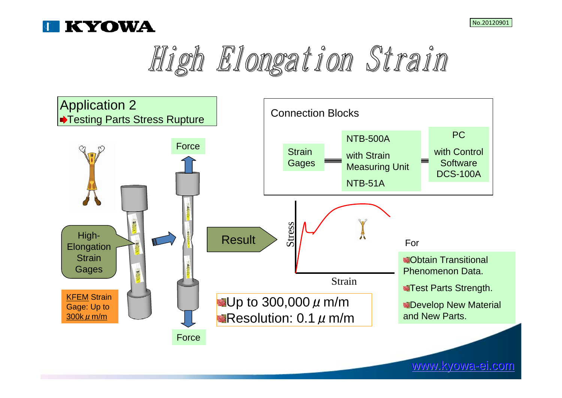





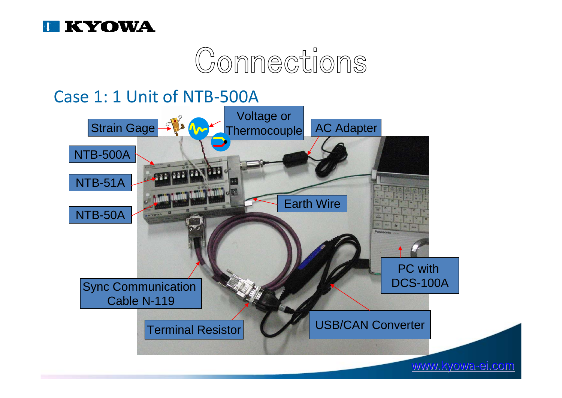



### Case 1: 1 Unit of NTB‐500A